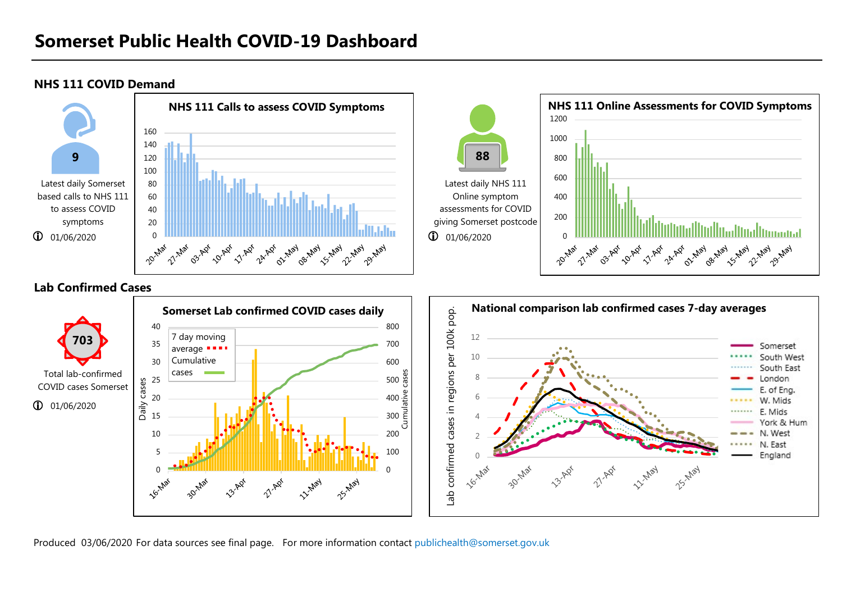NHS 111 COVID Demand



Produced 03/06/2020 For data sources see final page. For more information contact publichealth@somerset.gov.uk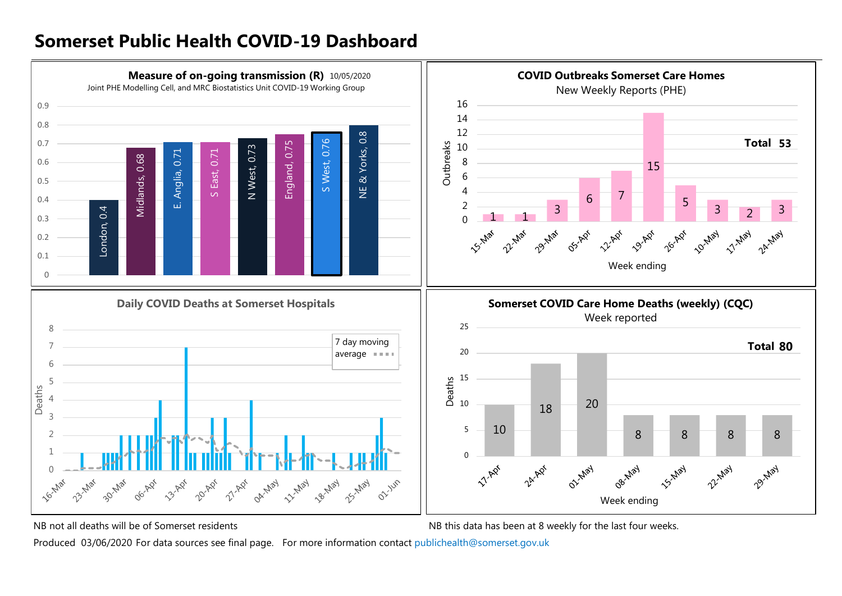

NB not all deaths will be of Somerset residents NB this data has been at 8 weekly for the last four weeks.

Produced 03/06/2020 For data sources see final page. For more information contact publichealth@somerset.gov.uk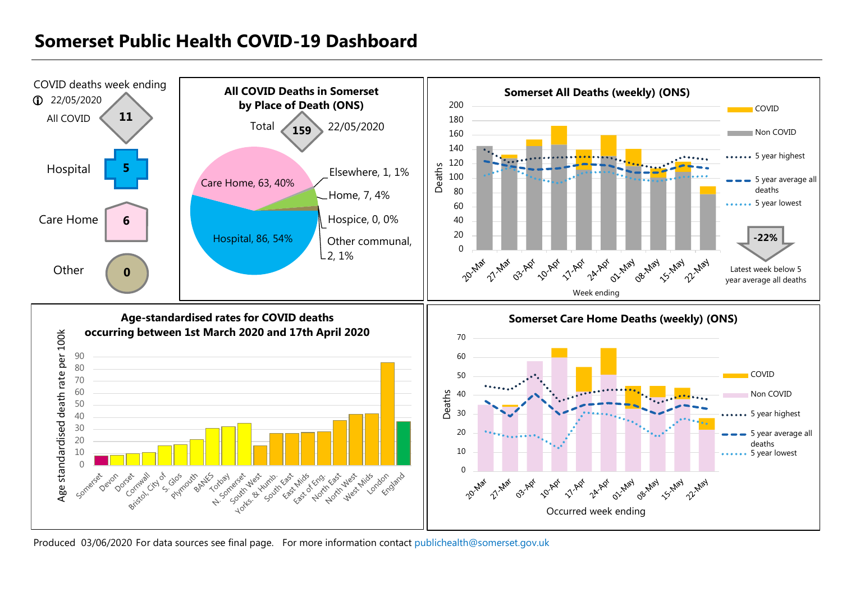

Produced 03/06/2020 For data sources see final page. For more information contact publichealth@somerset.gov.uk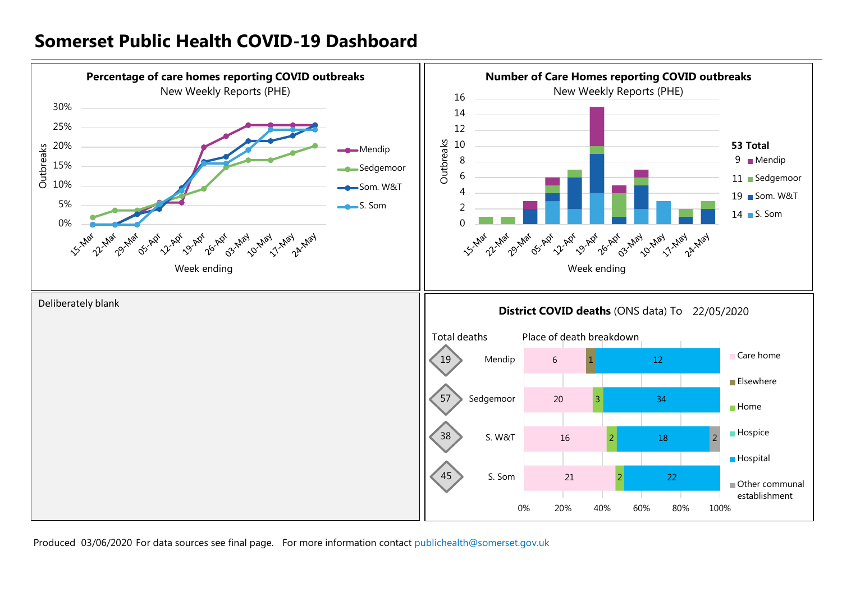

Produced 03/06/2020 For data sources see final page. For more information contact publichealth@somerset.gov.uk